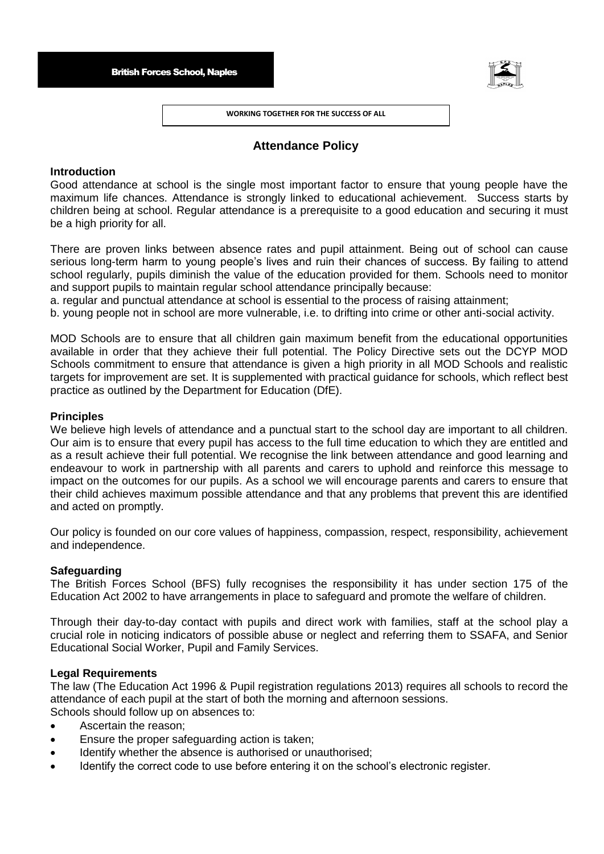

**WORKING TOGETHER FOR THE SUCCESS OF ALL**

# **Attendance Policy**

## **Introduction**

Good attendance at school is the single most important factor to ensure that young people have the maximum life chances. Attendance is strongly linked to educational achievement. Success starts by children being at school. Regular attendance is a prerequisite to a good education and securing it must be a high priority for all.

There are proven links between absence rates and pupil attainment. Being out of school can cause serious long-term harm to young people's lives and ruin their chances of success. By failing to attend school regularly, pupils diminish the value of the education provided for them. Schools need to monitor and support pupils to maintain regular school attendance principally because:

a. regular and punctual attendance at school is essential to the process of raising attainment;

b. young people not in school are more vulnerable, i.e. to drifting into crime or other anti-social activity.

MOD Schools are to ensure that all children gain maximum benefit from the educational opportunities available in order that they achieve their full potential. The Policy Directive sets out the DCYP MOD Schools commitment to ensure that attendance is given a high priority in all MOD Schools and realistic targets for improvement are set. It is supplemented with practical guidance for schools, which reflect best practice as outlined by the Department for Education (DfE).

## **Principles**

We believe high levels of attendance and a punctual start to the school day are important to all children. Our aim is to ensure that every pupil has access to the full time education to which they are entitled and as a result achieve their full potential. We recognise the link between attendance and good learning and endeavour to work in partnership with all parents and carers to uphold and reinforce this message to impact on the outcomes for our pupils. As a school we will encourage parents and carers to ensure that their child achieves maximum possible attendance and that any problems that prevent this are identified and acted on promptly.

Our policy is founded on our core values of happiness, compassion, respect, responsibility, achievement and independence.

# **Safeguarding**

The British Forces School (BFS) fully recognises the responsibility it has under section 175 of the Education Act 2002 to have arrangements in place to safeguard and promote the welfare of children.

Through their day-to-day contact with pupils and direct work with families, staff at the school play a crucial role in noticing indicators of possible abuse or neglect and referring them to SSAFA, and Senior Educational Social Worker, Pupil and Family Services.

### **Legal Requirements**

The law (The Education Act 1996 & Pupil registration regulations 2013) requires all schools to record the attendance of each pupil at the start of both the morning and afternoon sessions. Schools should follow up on absences to:

- Ascertain the reason;
- Ensure the proper safeguarding action is taken;
- Identify whether the absence is authorised or unauthorised;
- Identify the correct code to use before entering it on the school's electronic register.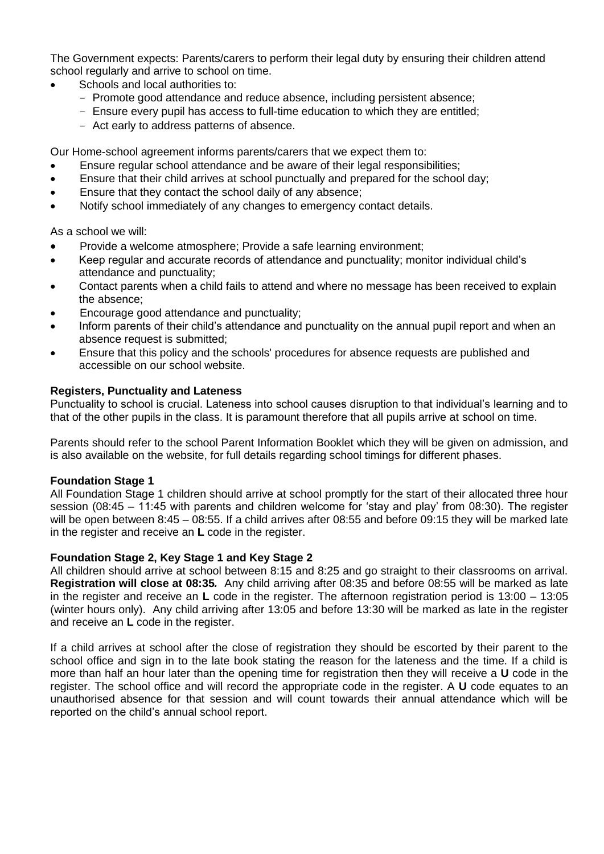The Government expects: Parents/carers to perform their legal duty by ensuring their children attend school regularly and arrive to school on time.

- Schools and local authorities to:
	- Promote good attendance and reduce absence, including persistent absence;
	- Ensure every pupil has access to full-time education to which they are entitled;
	- Act early to address patterns of absence.

Our Home-school agreement informs parents/carers that we expect them to:

- Ensure regular school attendance and be aware of their legal responsibilities;
- Ensure that their child arrives at school punctually and prepared for the school day;
- Ensure that they contact the school daily of any absence;
- Notify school immediately of any changes to emergency contact details.

As a school we will:

- Provide a welcome atmosphere; Provide a safe learning environment;
- Keep regular and accurate records of attendance and punctuality; monitor individual child's attendance and punctuality;
- Contact parents when a child fails to attend and where no message has been received to explain the absence;
- Encourage good attendance and punctuality;
- Inform parents of their child's attendance and punctuality on the annual pupil report and when an absence request is submitted;
- Ensure that this policy and the schools' procedures for absence requests are published and accessible on our school website.

# **Registers, Punctuality and Lateness**

Punctuality to school is crucial. Lateness into school causes disruption to that individual's learning and to that of the other pupils in the class. It is paramount therefore that all pupils arrive at school on time.

Parents should refer to the school Parent Information Booklet which they will be given on admission, and is also available on the website, for full details regarding school timings for different phases.

# **Foundation Stage 1**

All Foundation Stage 1 children should arrive at school promptly for the start of their allocated three hour session (08:45 – 11:45 with parents and children welcome for 'stay and play' from 08:30). The register will be open between 8:45 – 08:55. If a child arrives after 08:55 and before 09:15 they will be marked late in the register and receive an **L** code in the register.

# **Foundation Stage 2, Key Stage 1 and Key Stage 2**

All children should arrive at school between 8:15 and 8:25 and go straight to their classrooms on arrival. **Registration will close at 08:35***.* Any child arriving after 08:35 and before 08:55 will be marked as late in the register and receive an **L** code in the register. The afternoon registration period is 13:00 – 13:05 (winter hours only). Any child arriving after 13:05 and before 13:30 will be marked as late in the register and receive an **L** code in the register.

If a child arrives at school after the close of registration they should be escorted by their parent to the school office and sign in to the late book stating the reason for the lateness and the time. If a child is more than half an hour later than the opening time for registration then they will receive a **U** code in the register. The school office and will record the appropriate code in the register. A **U** code equates to an unauthorised absence for that session and will count towards their annual attendance which will be reported on the child's annual school report.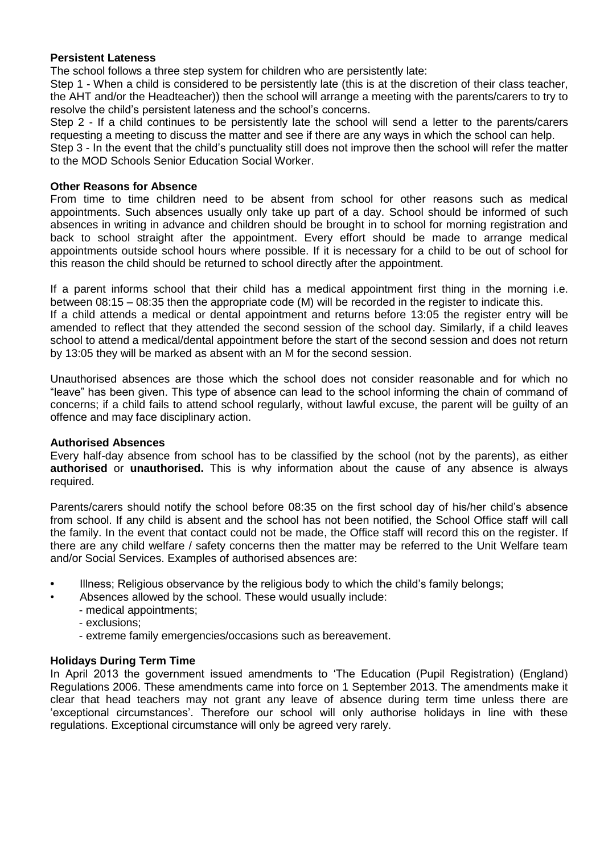## **Persistent Lateness**

The school follows a three step system for children who are persistently late:

Step 1 - When a child is considered to be persistently late (this is at the discretion of their class teacher, the AHT and/or the Headteacher)) then the school will arrange a meeting with the parents/carers to try to resolve the child's persistent lateness and the school's concerns.

Step 2 - If a child continues to be persistently late the school will send a letter to the parents/carers requesting a meeting to discuss the matter and see if there are any ways in which the school can help. Step 3 - In the event that the child's punctuality still does not improve then the school will refer the matter

to the MOD Schools Senior Education Social Worker.

#### **Other Reasons for Absence**

From time to time children need to be absent from school for other reasons such as medical appointments. Such absences usually only take up part of a day. School should be informed of such absences in writing in advance and children should be brought in to school for morning registration and back to school straight after the appointment. Every effort should be made to arrange medical appointments outside school hours where possible. If it is necessary for a child to be out of school for this reason the child should be returned to school directly after the appointment.

If a parent informs school that their child has a medical appointment first thing in the morning i.e. between 08:15 – 08:35 then the appropriate code (M) will be recorded in the register to indicate this. If a child attends a medical or dental appointment and returns before 13:05 the register entry will be amended to reflect that they attended the second session of the school day. Similarly, if a child leaves school to attend a medical/dental appointment before the start of the second session and does not return by 13:05 they will be marked as absent with an M for the second session.

Unauthorised absences are those which the school does not consider reasonable and for which no "leave" has been given. This type of absence can lead to the school informing the chain of command of concerns; if a child fails to attend school regularly, without lawful excuse, the parent will be guilty of an offence and may face disciplinary action.

#### **Authorised Absences**

Every half-day absence from school has to be classified by the school (not by the parents), as either **authorised** or **unauthorised.** This is why information about the cause of any absence is always required.

Parents/carers should notify the school before 08:35 on the first school day of his/her child's absence from school. If any child is absent and the school has not been notified, the School Office staff will call the family. In the event that contact could not be made, the Office staff will record this on the register. If there are any child welfare / safety concerns then the matter may be referred to the Unit Welfare team and/or Social Services. Examples of authorised absences are:

- **•** Illness; Religious observance by the religious body to which the child's family belongs;
	- Absences allowed by the school. These would usually include:
		- medical appointments;
		- exclusions;
		- extreme family emergencies/occasions such as bereavement.

# **Holidays During Term Time**

In April 2013 the government issued amendments to 'The Education (Pupil Registration) (England) Regulations 2006. These amendments came into force on 1 September 2013. The amendments make it clear that head teachers may not grant any leave of absence during term time unless there are 'exceptional circumstances'. Therefore our school will only authorise holidays in line with these regulations. Exceptional circumstance will only be agreed very rarely.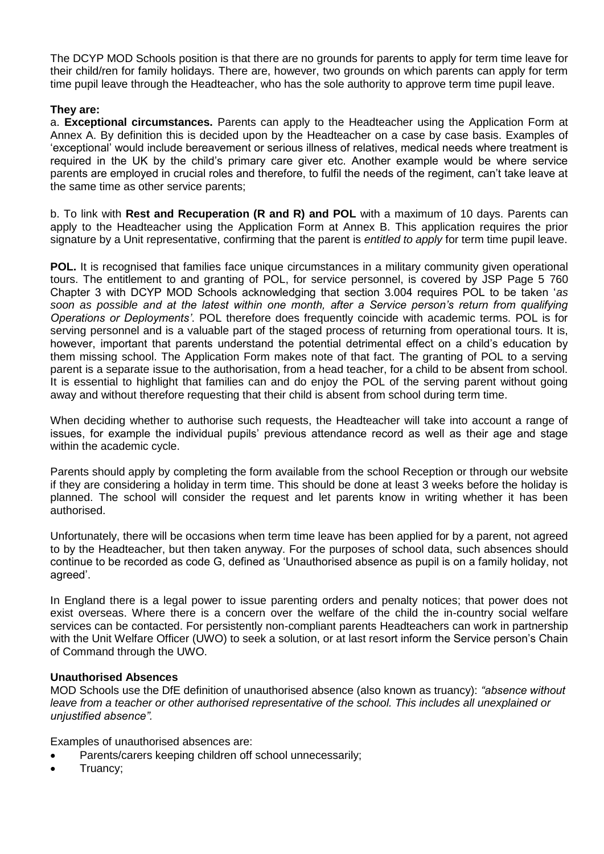The DCYP MOD Schools position is that there are no grounds for parents to apply for term time leave for their child/ren for family holidays. There are, however, two grounds on which parents can apply for term time pupil leave through the Headteacher, who has the sole authority to approve term time pupil leave.

## **They are:**

a. **Exceptional circumstances.** Parents can apply to the Headteacher using the Application Form at Annex A. By definition this is decided upon by the Headteacher on a case by case basis. Examples of 'exceptional' would include bereavement or serious illness of relatives, medical needs where treatment is required in the UK by the child's primary care giver etc. Another example would be where service parents are employed in crucial roles and therefore, to fulfil the needs of the regiment, can't take leave at the same time as other service parents;

b. To link with **Rest and Recuperation (R and R) and POL** with a maximum of 10 days. Parents can apply to the Headteacher using the Application Form at Annex B. This application requires the prior signature by a Unit representative, confirming that the parent is *entitled to apply* for term time pupil leave.

**POL.** It is recognised that families face unique circumstances in a military community given operational tours. The entitlement to and granting of POL, for service personnel, is covered by JSP Page 5 760 Chapter 3 with DCYP MOD Schools acknowledging that section 3.004 requires POL to be taken '*as soon as possible and at the latest within one month, after a Service person's return from qualifying Operations or Deployments'*. POL therefore does frequently coincide with academic terms. POL is for serving personnel and is a valuable part of the staged process of returning from operational tours. It is, however, important that parents understand the potential detrimental effect on a child's education by them missing school. The Application Form makes note of that fact. The granting of POL to a serving parent is a separate issue to the authorisation, from a head teacher, for a child to be absent from school. It is essential to highlight that families can and do enjoy the POL of the serving parent without going away and without therefore requesting that their child is absent from school during term time.

When deciding whether to authorise such requests, the Headteacher will take into account a range of issues, for example the individual pupils' previous attendance record as well as their age and stage within the academic cycle.

Parents should apply by completing the form available from the school Reception or through our website if they are considering a holiday in term time. This should be done at least 3 weeks before the holiday is planned. The school will consider the request and let parents know in writing whether it has been authorised.

Unfortunately, there will be occasions when term time leave has been applied for by a parent, not agreed to by the Headteacher, but then taken anyway. For the purposes of school data, such absences should continue to be recorded as code G, defined as 'Unauthorised absence as pupil is on a family holiday, not agreed'.

In England there is a legal power to issue parenting orders and penalty notices; that power does not exist overseas. Where there is a concern over the welfare of the child the in-country social welfare services can be contacted. For persistently non-compliant parents Headteachers can work in partnership with the Unit Welfare Officer (UWO) to seek a solution, or at last resort inform the Service person's Chain of Command through the UWO.

#### **Unauthorised Absences**

MOD Schools use the DfE definition of unauthorised absence (also known as truancy): *"absence without leave from a teacher or other authorised representative of the school. This includes all unexplained or unjustified absence".* 

Examples of unauthorised absences are:

- Parents/carers keeping children off school unnecessarily;
- Truancy;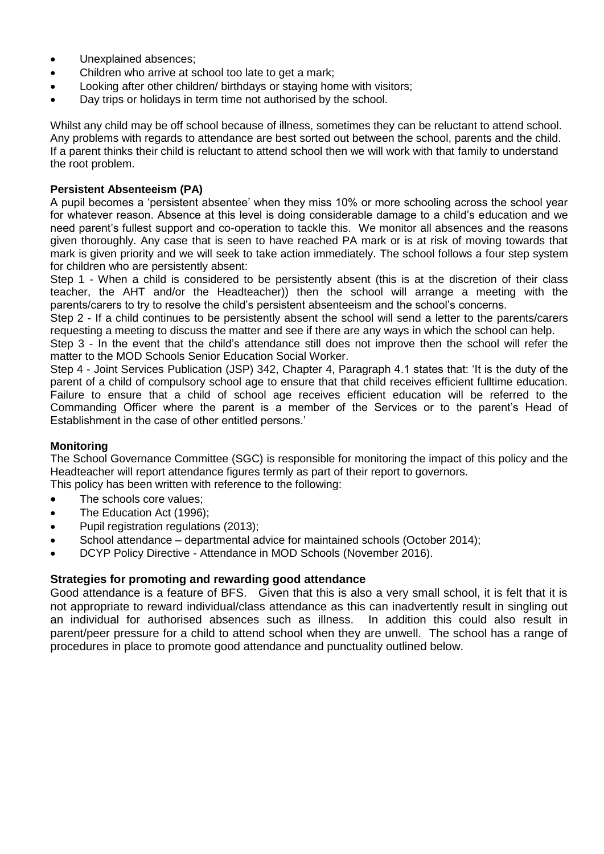- Unexplained absences;
- Children who arrive at school too late to get a mark;
- Looking after other children/ birthdays or staying home with visitors;
- Day trips or holidays in term time not authorised by the school.

Whilst any child may be off school because of illness, sometimes they can be reluctant to attend school. Any problems with regards to attendance are best sorted out between the school, parents and the child. If a parent thinks their child is reluctant to attend school then we will work with that family to understand the root problem.

# **Persistent Absenteeism (PA)**

A pupil becomes a 'persistent absentee' when they miss 10% or more schooling across the school year for whatever reason. Absence at this level is doing considerable damage to a child's education and we need parent's fullest support and co-operation to tackle this. We monitor all absences and the reasons given thoroughly. Any case that is seen to have reached PA mark or is at risk of moving towards that mark is given priority and we will seek to take action immediately. The school follows a four step system for children who are persistently absent:

Step 1 - When a child is considered to be persistently absent (this is at the discretion of their class teacher, the AHT and/or the Headteacher)) then the school will arrange a meeting with the parents/carers to try to resolve the child's persistent absenteeism and the school's concerns.

Step 2 - If a child continues to be persistently absent the school will send a letter to the parents/carers requesting a meeting to discuss the matter and see if there are any ways in which the school can help.

Step 3 - In the event that the child's attendance still does not improve then the school will refer the matter to the MOD Schools Senior Education Social Worker.

Step 4 - Joint Services Publication (JSP) 342, Chapter 4, Paragraph 4.1 states that: 'It is the duty of the parent of a child of compulsory school age to ensure that that child receives efficient fulltime education. Failure to ensure that a child of school age receives efficient education will be referred to the Commanding Officer where the parent is a member of the Services or to the parent's Head of Establishment in the case of other entitled persons.'

# **Monitoring**

The School Governance Committee (SGC) is responsible for monitoring the impact of this policy and the Headteacher will report attendance figures termly as part of their report to governors. This policy has been written with reference to the following:

- The schools core values;
- The Education Act (1996);
- Pupil registration regulations (2013);
- School attendance departmental advice for maintained schools (October 2014);
- DCYP Policy Directive Attendance in MOD Schools (November 2016).

# **Strategies for promoting and rewarding good attendance**

Good attendance is a feature of BFS. Given that this is also a very small school, it is felt that it is not appropriate to reward individual/class attendance as this can inadvertently result in singling out an individual for authorised absences such as illness. In addition this could also result in parent/peer pressure for a child to attend school when they are unwell. The school has a range of procedures in place to promote good attendance and punctuality outlined below.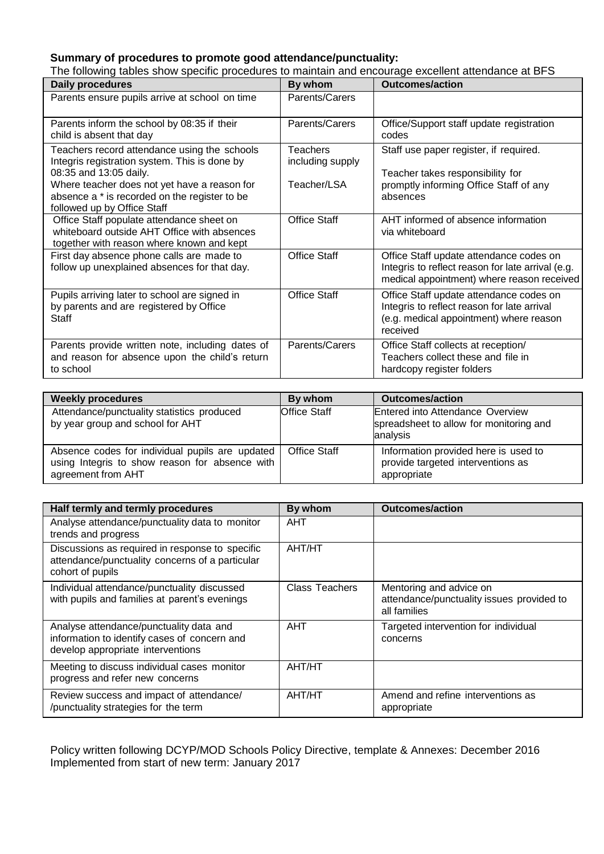# **Summary of procedures to promote good attendance/punctuality:**

The following tables show specific procedures to maintain and encourage excellent attendance at BFS

| Daily procedures                                                                                                                                                        | By whom                                     | <b>Outcomes/action</b>                                                                                                                        |  |
|-------------------------------------------------------------------------------------------------------------------------------------------------------------------------|---------------------------------------------|-----------------------------------------------------------------------------------------------------------------------------------------------|--|
| Parents ensure pupils arrive at school on time                                                                                                                          | Parents/Carers                              |                                                                                                                                               |  |
| Parents inform the school by 08:35 if their<br>child is absent that day                                                                                                 | Parents/Carers                              | Office/Support staff update registration<br>codes                                                                                             |  |
| Teachers record attendance using the schools<br>Integris registration system. This is done by<br>08:35 and 13:05 daily.<br>Where teacher does not yet have a reason for | Teachers<br>including supply<br>Teacher/LSA | Staff use paper register, if required.<br>Teacher takes responsibility for<br>promptly informing Office Staff of any                          |  |
| absence a * is recorded on the register to be<br>followed up by Office Staff                                                                                            |                                             | absences                                                                                                                                      |  |
| Office Staff populate attendance sheet on<br>whiteboard outside AHT Office with absences<br>together with reason where known and kept                                   | <b>Office Staff</b>                         | AHT informed of absence information<br>via whiteboard                                                                                         |  |
| First day absence phone calls are made to<br>follow up unexplained absences for that day.                                                                               | <b>Office Staff</b>                         | Office Staff update attendance codes on<br>Integris to reflect reason for late arrival (e.g.<br>medical appointment) where reason received    |  |
| Pupils arriving later to school are signed in<br>by parents and are registered by Office<br>Staff                                                                       | <b>Office Staff</b>                         | Office Staff update attendance codes on<br>Integris to reflect reason for late arrival<br>(e.g. medical appointment) where reason<br>received |  |
| Parents provide written note, including dates of<br>and reason for absence upon the child's return<br>to school                                                         | Parents/Carers                              | Office Staff collects at reception/<br>Teachers collect these and file in<br>hardcopy register folders                                        |  |

| <b>Weekly procedures</b>                                                                                                | By whom             | <b>Outcomes/action</b>                                                                   |
|-------------------------------------------------------------------------------------------------------------------------|---------------------|------------------------------------------------------------------------------------------|
| Attendance/punctuality statistics produced<br>by year group and school for AHT                                          | <b>Office Staff</b> | Entered into Attendance Overview<br>spreadsheet to allow for monitoring and<br>analysis  |
| Absence codes for individual pupils are updated<br>using Integris to show reason for absence with<br>agreement from AHT | <b>Office Staff</b> | Information provided here is used to<br>provide targeted interventions as<br>appropriate |

| Half termly and termly procedures                                                                                            | By whom               | <b>Outcomes/action</b>                                                               |  |
|------------------------------------------------------------------------------------------------------------------------------|-----------------------|--------------------------------------------------------------------------------------|--|
| Analyse attendance/punctuality data to monitor<br>trends and progress                                                        | AHT                   |                                                                                      |  |
| Discussions as required in response to specific<br>attendance/punctuality concerns of a particular<br>cohort of pupils       | AHT/HT                |                                                                                      |  |
| Individual attendance/punctuality discussed<br>with pupils and families at parent's evenings                                 | <b>Class Teachers</b> | Mentoring and advice on<br>attendance/punctuality issues provided to<br>all families |  |
| Analyse attendance/punctuality data and<br>information to identify cases of concern and<br>develop appropriate interventions | <b>AHT</b>            | Targeted intervention for individual<br>concerns                                     |  |
| Meeting to discuss individual cases monitor<br>progress and refer new concerns                                               | AHT/HT                |                                                                                      |  |
| Review success and impact of attendance/<br>/punctuality strategies for the term                                             | AHT/HT                | Amend and refine interventions as<br>appropriate                                     |  |

Policy written following DCYP/MOD Schools Policy Directive, template & Annexes: December 2016 Implemented from start of new term: January 2017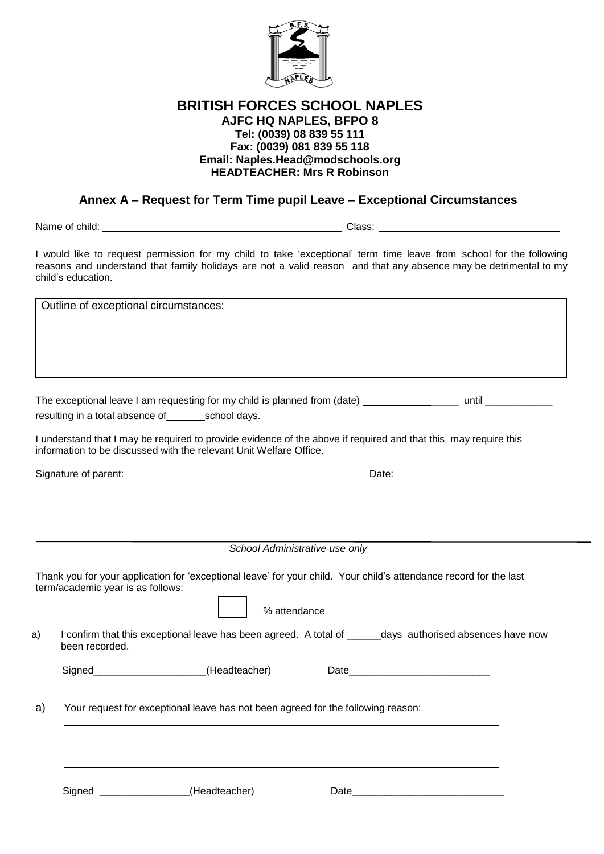

# **BRITISH FORCES SCHOOL NAPLES AJFC HQ NAPLES, BFPO 8 Tel: (0039) 08 839 55 111 Fax: (0039) 081 839 55 118 Email: Naples.Head@modschools.org HEADTEACHER: Mrs R Robinson**

# **Annex A – Request for Term Time pupil Leave – Exceptional Circumstances**

Name of child: Class:

I would like to request permission for my child to take 'exceptional' term time leave from school for the following reasons and understand that family holidays are not a valid reason and that any absence may be detrimental to my child's education.

Outline of exceptional circumstances:

The exceptional leave I am requesting for my child is planned from (date) \_\_\_\_\_ until \_\_\_\_\_\_\_\_\_\_\_\_ resulting in a total absence of school days.

I understand that I may be required to provide evidence of the above if required and that this may require this information to be discussed with the relevant Unit Welfare Office.

Signature of parent: <u>Date:</u> Date: Date: Date: Date: Date: Date: Date: Date: Date: Date: Date: Date: Date: Date: Date: Date: Date: Date: Date: Date: Date: Date: Date: Date: Date: Date: Date: Date: Date: Date: Date: Date: D

*School Administrative use only*

Thank you for your application for 'exceptional leave' for your child. Your child's attendance record for the last term/academic year is as follows:

attendance

a) I confirm that this exceptional leave has been agreed. A total of days authorised absences have now been recorded.

Signed\_\_\_\_\_\_\_\_\_\_\_\_\_\_\_\_\_\_\_\_(Headteacher) Date\_\_\_\_\_\_\_\_\_\_\_\_\_\_\_\_\_\_\_\_\_\_\_\_\_

a) Your request for exceptional leave has not been agreed for the following reason:

Signed \_\_\_\_\_\_\_\_\_\_\_\_\_\_\_\_(Headteacher) Date\_\_\_\_\_\_\_\_\_\_\_\_\_\_\_\_\_\_\_\_\_\_\_\_\_\_\_